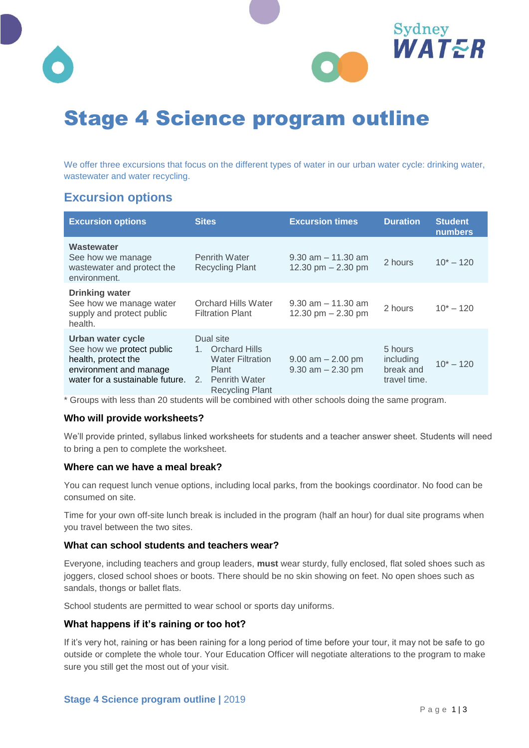



We offer three excursions that focus on the different types of water in our urban water cycle: drinking water, wastewater and water recycling.

## **Excursion options**

| <b>Excursion options</b>                                                                                                           | <b>Sites</b>                                                                                                                   | <b>Excursion times</b>                         | <b>Duration</b>                                   | <b>Student</b><br><b>numbers</b> |
|------------------------------------------------------------------------------------------------------------------------------------|--------------------------------------------------------------------------------------------------------------------------------|------------------------------------------------|---------------------------------------------------|----------------------------------|
| Wastewater<br>See how we manage<br>wastewater and protect the<br>environment.                                                      | <b>Penrith Water</b><br><b>Recycling Plant</b>                                                                                 | $9.30$ am $-11.30$ am<br>12.30 pm $- 2.30$ pm  | 2 hours                                           | $10^* - 120$                     |
| <b>Drinking water</b><br>See how we manage water<br>supply and protect public<br>health.                                           | <b>Orchard Hills Water</b><br><b>Filtration Plant</b>                                                                          | $9.30$ am $-11.30$ am<br>12.30 pm $- 2.30$ pm  | 2 hours                                           | $10^* - 120$                     |
| Urban water cycle<br>See how we protect public<br>health, protect the<br>environment and manage<br>water for a sustainable future. | Dual site<br><b>Orchard Hills</b><br>$1_{-}$<br><b>Water Filtration</b><br>Plant<br>2. Penrith Water<br><b>Recycling Plant</b> | $9.00$ am $- 2.00$ pm<br>$9.30$ am $- 2.30$ pm | 5 hours<br>including<br>break and<br>travel time. | $10^* - 120$                     |

\* Groups with less than 20 students will be combined with other schools doing the same program.

#### **Who will provide worksheets?**

We'll provide printed, syllabus linked worksheets for students and a teacher answer sheet. Students will need to bring a pen to complete the worksheet.

#### **Where can we have a meal break?**

You can request lunch venue options, including local parks, from the bookings coordinator. No food can be consumed on site.

Time for your own off-site lunch break is included in the program (half an hour) for dual site programs when you travel between the two sites.

#### **What can school students and teachers wear?**

Everyone, including teachers and group leaders, **must** wear sturdy, fully enclosed, flat soled shoes such as joggers, closed school shoes or boots. There should be no skin showing on feet. No open shoes such as sandals, thongs or ballet flats.

School students are permitted to wear school or sports day uniforms.

#### **What happens if it's raining or too hot?**

If it's very hot, raining or has been raining for a long period of time before your tour, it may not be safe to go outside or complete the whole tour. Your Education Officer will negotiate alterations to the program to make sure you still get the most out of your visit.

Sydney

WATER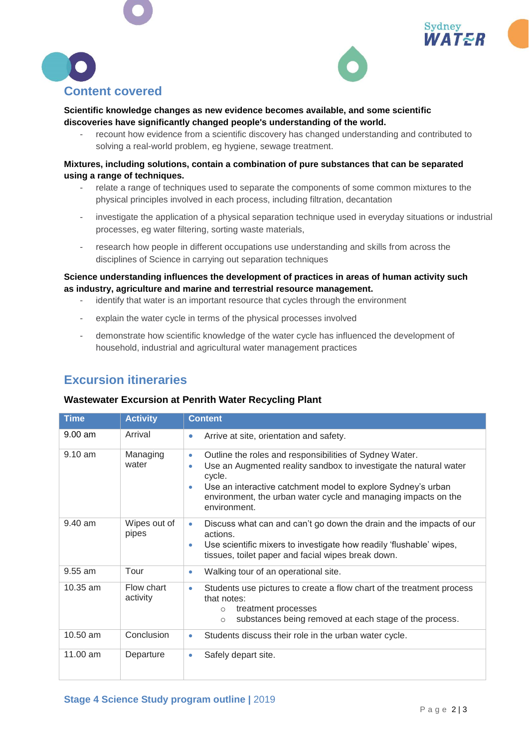





#### **Scientific knowledge changes as new evidence becomes available, and some scientific discoveries have significantly changed people's understanding of the world.**

recount how evidence from a scientific discovery has changed understanding and contributed to solving a real-world problem, eg hygiene, sewage treatment.

#### **Mixtures, including solutions, contain a combination of pure substances that can be separated using a range of techniques.**

- relate a range of techniques used to separate the components of some common mixtures to the physical principles involved in each process, including filtration, decantation
- investigate the application of a physical separation technique used in everyday situations or industrial processes, eg water filtering, sorting waste materials,
- research how people in different occupations use understanding and skills from across the disciplines of Science in carrying out separation techniques

#### **Science understanding influences the development of practices in areas of human activity such as industry, agriculture and marine and terrestrial resource management.**

- identify that water is an important resource that cycles through the environment
- explain the water cycle in terms of the physical processes involved
- demonstrate how scientific knowledge of the water cycle has influenced the development of household, industrial and agricultural water management practices

# **Excursion itineraries**

### **Wastewater Excursion at Penrith Water Recycling Plant**

| <b>Time</b> | <b>Activity</b>        | <b>Content</b>                                                                                                                                                                                                                                                                                                          |
|-------------|------------------------|-------------------------------------------------------------------------------------------------------------------------------------------------------------------------------------------------------------------------------------------------------------------------------------------------------------------------|
| $9.00$ am   | Arrival                | Arrive at site, orientation and safety.<br>$\bullet$                                                                                                                                                                                                                                                                    |
| $9.10$ am   | Managing<br>water      | Outline the roles and responsibilities of Sydney Water.<br>$\bullet$<br>Use an Augmented reality sandbox to investigate the natural water<br>۰<br>cycle.<br>Use an interactive catchment model to explore Sydney's urban<br>$\bullet$<br>environment, the urban water cycle and managing impacts on the<br>environment. |
| $9.40$ am   | Wipes out of<br>pipes  | Discuss what can and can't go down the drain and the impacts of our<br>۰<br>actions.<br>Use scientific mixers to investigate how readily 'flushable' wipes,<br>٠<br>tissues, toilet paper and facial wipes break down.                                                                                                  |
| $9.55$ am   | Tour                   | Walking tour of an operational site.<br>۰                                                                                                                                                                                                                                                                               |
| $10.35$ am  | Flow chart<br>activity | Students use pictures to create a flow chart of the treatment process<br>۰<br>that notes:<br>treatment processes<br>$\circ$<br>substances being removed at each stage of the process.<br>$\circ$                                                                                                                        |
| 10.50 am    | Conclusion             | Students discuss their role in the urban water cycle.<br>$\bullet$                                                                                                                                                                                                                                                      |
| 11.00 am    | Departure              | Safely depart site.<br>۰                                                                                                                                                                                                                                                                                                |